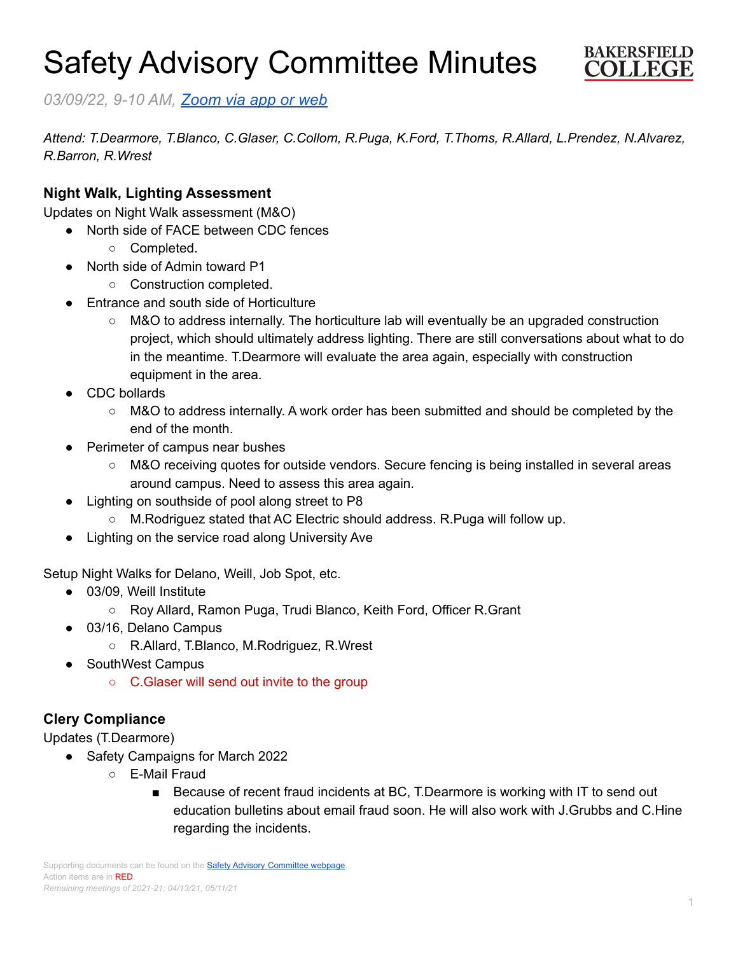# Safety Advisory Committee Minutes



*03/09/22, 9-10 AM, [Zoom](https://cccconfer.zoom.us/j/95588517472?pwd=OTV2dmFlMHN3dWkxRndrem1YL2dQQT09) via app or web*

*Attend: T.Dearmore, T.Blanco, C.Glaser, C.Collom, R.Puga, K.Ford, T.Thoms, R.Allard, L.Prendez, N.Alvarez, R.Barron, R.Wrest*

# **Night Walk, Lighting Assessment**

Updates on Night Walk assessment (M&O)

- North side of FACE between CDC fences
	- Completed.
- North side of Admin toward P1
	- Construction completed.
- Entrance and south side of Horticulture
	- M&O to address internally. The horticulture lab will eventually be an upgraded construction project, which should ultimately address lighting. There are still conversations about what to do in the meantime. T.Dearmore will evaluate the area again, especially with construction equipment in the area.
- CDC bollards
	- M&O to address internally. A work order has been submitted and should be completed by the end of the month.
- **Perimeter of campus near bushes** 
	- M&O receiving quotes for outside vendors. Secure fencing is being installed in several areas around campus. Need to assess this area again.
- Lighting on southside of pool along street to P8
	- M.Rodriguez stated that AC Electric should address. R.Puga will follow up.
- Lighting on the service road along University Ave

Setup Night Walks for Delano, Weill, Job Spot, etc.

- 03/09, Weill Institute
	- Roy Allard, Ramon Puga, Trudi Blanco, Keith Ford, Officer R.Grant
- 03/16, Delano Campus
	- R.Allard, T.Blanco, M.Rodriguez, R.Wrest
- **SouthWest Campus** 
	- C.Glaser will send out invite to the group

# **Clery Compliance**

Updates (T.Dearmore)

- Safety Campaigns for March 2022
	- E-Mail Fraud
		- Because of recent fraud incidents at BC, T.Dearmore is working with IT to send out education bulletins about email fraud soon. He will also work with J.Grubbs and C.Hine regarding the incidents.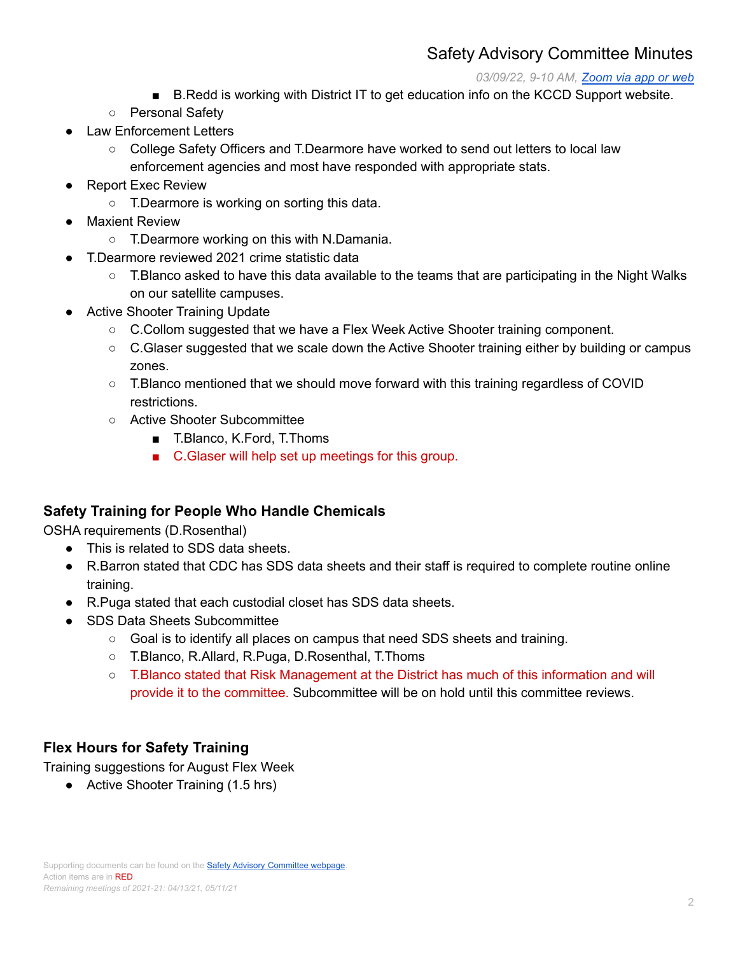# Safety Advisory Committee Minutes

#### *03/09/22, 9-10 AM, [Zoom](https://cccconfer.zoom.us/j/95588517472?pwd=OTV2dmFlMHN3dWkxRndrem1YL2dQQT09) via app or web*

- B.Redd is working with District IT to get education info on the KCCD Support website.
- Personal Safety
- **Law Enforcement Letters** 
	- College Safety Officers and T.Dearmore have worked to send out letters to local law enforcement agencies and most have responded with appropriate stats.
- **Report Exec Review** 
	- T.Dearmore is working on sorting this data.
- **Maxient Review** 
	- T.Dearmore working on this with N.Damania.
- T.Dearmore reviewed 2021 crime statistic data
	- $\circ$  T. Blanco asked to have this data available to the teams that are participating in the Night Walks on our satellite campuses.
- **Active Shooter Training Update** 
	- C.Collom suggested that we have a Flex Week Active Shooter training component.
	- C.Glaser suggested that we scale down the Active Shooter training either by building or campus zones.
	- T.Blanco mentioned that we should move forward with this training regardless of COVID restrictions.
	- Active Shooter Subcommittee
		- T.Blanco, K.Ford, T.Thoms
		- C.Glaser will help set up meetings for this group.

#### **Safety Training for People Who Handle Chemicals**

OSHA requirements (D.Rosenthal)

- This is related to SDS data sheets.
- R.Barron stated that CDC has SDS data sheets and their staff is required to complete routine online training.
- R.Puga stated that each custodial closet has SDS data sheets.
- **SDS Data Sheets Subcommittee** 
	- $\circ$  Goal is to identify all places on campus that need SDS sheets and training.
	- T.Blanco, R.Allard, R.Puga, D.Rosenthal, T.Thoms
	- T.Blanco stated that Risk Management at the District has much of this information and will provide it to the committee. Subcommittee will be on hold until this committee reviews.

# **Flex Hours for Safety Training**

Training suggestions for August Flex Week

● Active Shooter Training (1.5 hrs)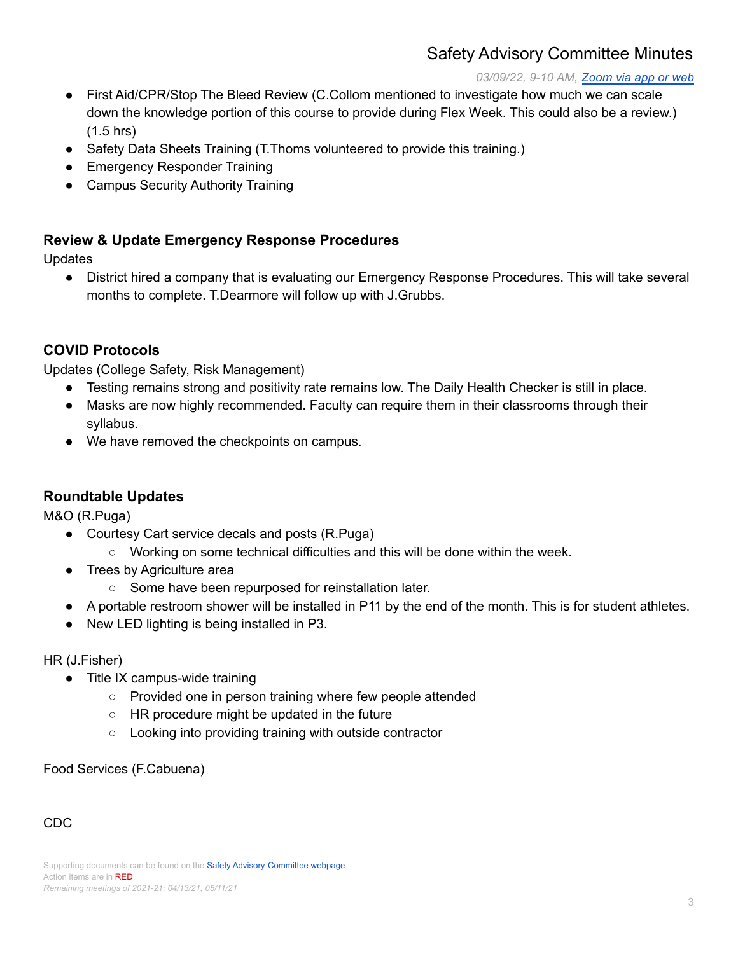# Safety Advisory Committee Minutes

#### *03/09/22, 9-10 AM, [Zoom](https://cccconfer.zoom.us/j/95588517472?pwd=OTV2dmFlMHN3dWkxRndrem1YL2dQQT09) via app or web*

- First Aid/CPR/Stop The Bleed Review (C.Collom mentioned to investigate how much we can scale down the knowledge portion of this course to provide during Flex Week. This could also be a review.) (1.5 hrs)
- Safety Data Sheets Training (T. Thoms volunteered to provide this training.)
- Emergency Responder Training
- Campus Security Authority Training

### **Review & Update Emergency Response Procedures**

Updates

● District hired a company that is evaluating our Emergency Response Procedures. This will take several months to complete. T.Dearmore will follow up with J.Grubbs.

# **COVID Protocols**

Updates (College Safety, Risk Management)

- Testing remains strong and positivity rate remains low. The Daily Health Checker is still in place.
- Masks are now highly recommended. Faculty can require them in their classrooms through their syllabus.
- We have removed the checkpoints on campus.

#### **Roundtable Updates**

M&O (R.Puga)

- Courtesy Cart service decals and posts (R.Puga)
	- Working on some technical difficulties and this will be done within the week.
- Trees by Agriculture area
	- Some have been repurposed for reinstallation later.
- A portable restroom shower will be installed in P11 by the end of the month. This is for student athletes.
- New LED lighting is being installed in P3.

#### HR (J.Fisher)

- Title IX campus-wide training
	- Provided one in person training where few people attended
	- HR procedure might be updated in the future
	- Looking into providing training with outside contractor

Food Services (F.Cabuena)

#### CDC

Supporting documents can be found on the **Safety Advisory [Committee](https://committees.kccd.edu/bc/committee/safety-advisory-committee) webpage** Action items are in RED. *Remaining meetings of 2021-21: 04/13/21, 05/11/21*